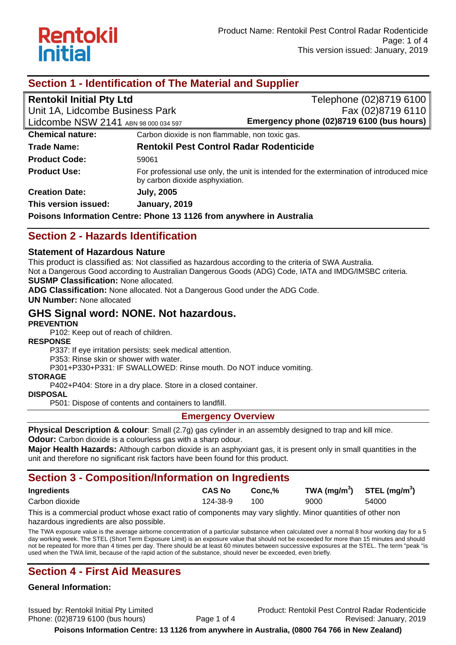

| Section 1 - Identification of The Material and Supplier              |                                                 |                                                                                          |  |  |
|----------------------------------------------------------------------|-------------------------------------------------|------------------------------------------------------------------------------------------|--|--|
| <b>Rentokil Initial Pty Ltd</b>                                      |                                                 | Telephone (02)8719 6100                                                                  |  |  |
| Unit 1A, Lidcombe Business Park                                      |                                                 | Fax (02)8719 6110                                                                        |  |  |
| Lidcombe NSW 2141 ABN 98 000 034 597                                 |                                                 | Emergency phone (02)8719 6100 (bus hours)                                                |  |  |
| <b>Chemical nature:</b>                                              | Carbon dioxide is non flammable, non toxic gas. |                                                                                          |  |  |
| <b>Trade Name:</b>                                                   | <b>Rentokil Pest Control Radar Rodenticide</b>  |                                                                                          |  |  |
| <b>Product Code:</b>                                                 | 59061                                           |                                                                                          |  |  |
| <b>Product Use:</b>                                                  | by carbon dioxide asphyxiation.                 | For professional use only, the unit is intended for the extermination of introduced mice |  |  |
| <b>Creation Date:</b>                                                | <b>July, 2005</b>                               |                                                                                          |  |  |
| This version issued:                                                 | January, 2019                                   |                                                                                          |  |  |
| Poisons Information Centre: Phone 13 1126 from anywhere in Australia |                                                 |                                                                                          |  |  |

## **Section 2 - Hazards Identification**

### **Statement of Hazardous Nature**

This product is classified as: Not classified as hazardous according to the criteria of SWA Australia.

Not a Dangerous Good according to Australian Dangerous Goods (ADG) Code, IATA and IMDG/IMSBC criteria.

**SUSMP Classification:** None allocated.

**ADG Classification:** None allocated. Not a Dangerous Good under the ADG Code.

**UN Number:** None allocated

## **GHS Signal word: NONE. Not hazardous.**

### **PREVENTION**

P102: Keep out of reach of children.

### **RESPONSE**

P337: If eye irritation persists: seek medical attention.

P353: Rinse skin or shower with water.

P301+P330+P331: IF SWALLOWED: Rinse mouth. Do NOT induce vomiting.

### **STORAGE**

P402+P404: Store in a dry place. Store in a closed container.

**DISPOSAL** 

P501: Dispose of contents and containers to landfill.

### **Emergency Overview**

**Physical Description & colour**: Small (2.7g) gas cylinder in an assembly designed to trap and kill mice.

**Odour:** Carbon dioxide is a colourless gas with a sharp odour.

**Major Health Hazards:** Although carbon dioxide is an asphyxiant gas, it is present only in small quantities in the unit and therefore no significant risk factors have been found for this product.

## **Section 3 - Composition/Information on Ingredients**

| <b>Ingredients</b> | <b>CAS No</b> | Conc.% | TWA $(mg/m^3)$ STEL $(mg/m^3)$ |       |
|--------------------|---------------|--------|--------------------------------|-------|
| Carbon dioxide     | 124-38-9      | 100    | 9000                           | 54000 |

This is a commercial product whose exact ratio of components may vary slightly. Minor quantities of other non hazardous ingredients are also possible.

The TWA exposure value is the average airborne concentration of a particular substance when calculated over a normal 8 hour working day for a 5 day working week. The STEL (Short Term Exposure Limit) is an exposure value that should not be exceeded for more than 15 minutes and should not be repeated for more than 4 times per day. There should be at least 60 minutes between successive exposures at the STEL. The term "peak "is used when the TWA limit, because of the rapid action of the substance, should never be exceeded, even briefly.

## **Section 4 - First Aid Measures**

### **General Information:**

Issued by: Rentokil Initial Pty Limited Product: Rentokil Pest Control Radar Rodenticide Phone: (02)8719 6100 (bus hours) Page 1 of 4 Revised: January, 2019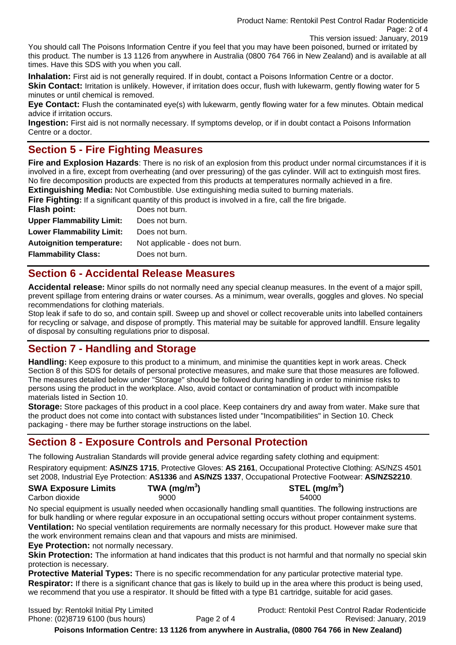Product Name: Rentokil Pest Control Radar Rodenticide Page: 2 of 4 This version issued: January, 2019

You should call The Poisons Information Centre if you feel that you may have been poisoned, burned or irritated by this product. The number is 13 1126 from anywhere in Australia (0800 764 766 in New Zealand) and is available at all times. Have this SDS with you when you call.

**Inhalation:** First aid is not generally required. If in doubt, contact a Poisons Information Centre or a doctor. **Skin Contact:** Irritation is unlikely. However, if irritation does occur, flush with lukewarm, gently flowing water for 5 minutes or until chemical is removed.

**Eye Contact:** Flush the contaminated eye(s) with lukewarm, gently flowing water for a few minutes. Obtain medical advice if irritation occurs.

**Ingestion:** First aid is not normally necessary. If symptoms develop, or if in doubt contact a Poisons Information Centre or a doctor.

## **Section 5 - Fire Fighting Measures**

**Fire and Explosion Hazards**: There is no risk of an explosion from this product under normal circumstances if it is involved in a fire, except from overheating (and over pressuring) of the gas cylinder. Will act to extinguish most fires. No fire decomposition products are expected from this products at temperatures normally achieved in a fire.

**Extinguishing Media:** Not Combustible. Use extinguishing media suited to burning materials.

**Fire Fighting:** If a significant quantity of this product is involved in a fire, call the fire brigade.

| Flash point:                     | Does not burn.                  |
|----------------------------------|---------------------------------|
| <b>Upper Flammability Limit:</b> | Does not burn.                  |
| <b>Lower Flammability Limit:</b> | Does not burn.                  |
| <b>Autoignition temperature:</b> | Not applicable - does not burn. |
| <b>Flammability Class:</b>       | Does not burn.                  |

## **Section 6 - Accidental Release Measures**

**Accidental release:** Minor spills do not normally need any special cleanup measures. In the event of a major spill, prevent spillage from entering drains or water courses. As a minimum, wear overalls, goggles and gloves. No special recommendations for clothing materials.

Stop leak if safe to do so, and contain spill. Sweep up and shovel or collect recoverable units into labelled containers for recycling or salvage, and dispose of promptly. This material may be suitable for approved landfill. Ensure legality of disposal by consulting regulations prior to disposal.

## **Section 7 - Handling and Storage**

**Handling:** Keep exposure to this product to a minimum, and minimise the quantities kept in work areas. Check Section 8 of this SDS for details of personal protective measures, and make sure that those measures are followed. The measures detailed below under "Storage" should be followed during handling in order to minimise risks to persons using the product in the workplace. Also, avoid contact or contamination of product with incompatible materials listed in Section 10.

**Storage:** Store packages of this product in a cool place. Keep containers dry and away from water. Make sure that the product does not come into contact with substances listed under "Incompatibilities" in Section 10. Check packaging - there may be further storage instructions on the label.

## **Section 8 - Exposure Controls and Personal Protection**

The following Australian Standards will provide general advice regarding safety clothing and equipment:

Respiratory equipment: **AS/NZS 1715**, Protective Gloves: **AS 2161**, Occupational Protective Clothing: AS/NZS 4501 set 2008, Industrial Eye Protection: **AS1336** and **AS/NZS 1337**, Occupational Protective Footwear: **AS/NZS2210**.

#### **SWA Exposure Limits TWA (mg/m<sup>3</sup>** Carbon dioxide 54000 9000 54000 54000



No special equipment is usually needed when occasionally handling small quantities. The following instructions are for bulk handling or where regular exposure in an occupational setting occurs without proper containment systems. **Ventilation:** No special ventilation requirements are normally necessary for this product. However make sure that the work environment remains clean and that vapours and mists are minimised.

**Eye Protection:** not normally necessary.

**Skin Protection:** The information at hand indicates that this product is not harmful and that normally no special skin protection is necessary.

**Protective Material Types:** There is no specific recommendation for any particular protective material type. **Respirator:** If there is a significant chance that gas is likely to build up in the area where this product is being used, we recommend that you use a respirator. It should be fitted with a type B1 cartridge, suitable for acid gases.

Issued by: Rentokil Initial Pty Limited Product: Rentokil Pest Control Radar Rodenticide Phone: (02)8719 6100 (bus hours) Page 2 of 4 Revised: January, 2019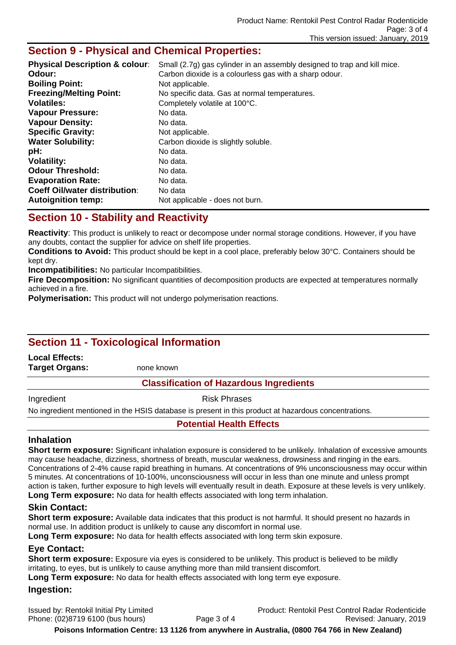## **Section 9 - Physical and Chemical Properties:**

| <b>Physical Description &amp; colour:</b> | Small (2.7g) gas cylinder in an assembly designed to trap and kill mice. |
|-------------------------------------------|--------------------------------------------------------------------------|
| Odour:                                    | Carbon dioxide is a colourless gas with a sharp odour.                   |
| <b>Boiling Point:</b>                     | Not applicable.                                                          |
| <b>Freezing/Melting Point:</b>            | No specific data. Gas at normal temperatures.                            |
| <b>Volatiles:</b>                         | Completely volatile at 100°C.                                            |
| <b>Vapour Pressure:</b>                   | No data.                                                                 |
| <b>Vapour Density:</b>                    | No data.                                                                 |
| <b>Specific Gravity:</b>                  | Not applicable.                                                          |
| <b>Water Solubility:</b>                  | Carbon dioxide is slightly soluble.                                      |
| pH:                                       | No data.                                                                 |
| <b>Volatility:</b>                        | No data.                                                                 |
| <b>Odour Threshold:</b>                   | No data.                                                                 |
| <b>Evaporation Rate:</b>                  | No data.                                                                 |
| <b>Coeff Oil/water distribution:</b>      | No data                                                                  |
| <b>Autoignition temp:</b>                 | Not applicable - does not burn.                                          |

## **Section 10 - Stability and Reactivity**

**Reactivity**: This product is unlikely to react or decompose under normal storage conditions. However, if you have any doubts, contact the supplier for advice on shelf life properties.

**Conditions to Avoid:** This product should be kept in a cool place, preferably below 30°C. Containers should be kept dry.

**Incompatibilities:** No particular Incompatibilities.

**Fire Decomposition:** No significant quantities of decomposition products are expected at temperatures normally achieved in a fire.

**Polymerisation:** This product will not undergo polymerisation reactions.

# **Section 11 - Toxicological Information**

**Local Effects:** 

**Target Organs:** none known

### **Classification of Hazardous Ingredients**

Ingredient **Risk Phrases** 

No ingredient mentioned in the HSIS database is present in this product at hazardous concentrations.

### **Potential Health Effects**

### **Inhalation**

**Short term exposure:** Significant inhalation exposure is considered to be unlikely. Inhalation of excessive amounts may cause headache, dizziness, shortness of breath, muscular weakness, drowsiness and ringing in the ears. Concentrations of 2-4% cause rapid breathing in humans. At concentrations of 9% unconsciousness may occur within 5 minutes. At concentrations of 10-100%, unconsciousness will occur in less than one minute and unless prompt action is taken, further exposure to high levels will eventually result in death. Exposure at these levels is very unlikely. **Long Term exposure:** No data for health effects associated with long term inhalation.

### **Skin Contact:**

**Short term exposure:** Available data indicates that this product is not harmful. It should present no hazards in normal use. In addition product is unlikely to cause any discomfort in normal use.

**Long Term exposure:** No data for health effects associated with long term skin exposure.

### **Eye Contact:**

**Short term exposure:** Exposure via eyes is considered to be unlikely. This product is believed to be mildly irritating, to eyes, but is unlikely to cause anything more than mild transient discomfort.

**Long Term exposure:** No data for health effects associated with long term eye exposure.

### **Ingestion:**

Issued by: Rentokil Initial Pty Limited Product: Rentokil Pest Control Radar Rodenticide Phone: (02)8719 6100 (bus hours) Page 3 of 4 Revised: January, 2019